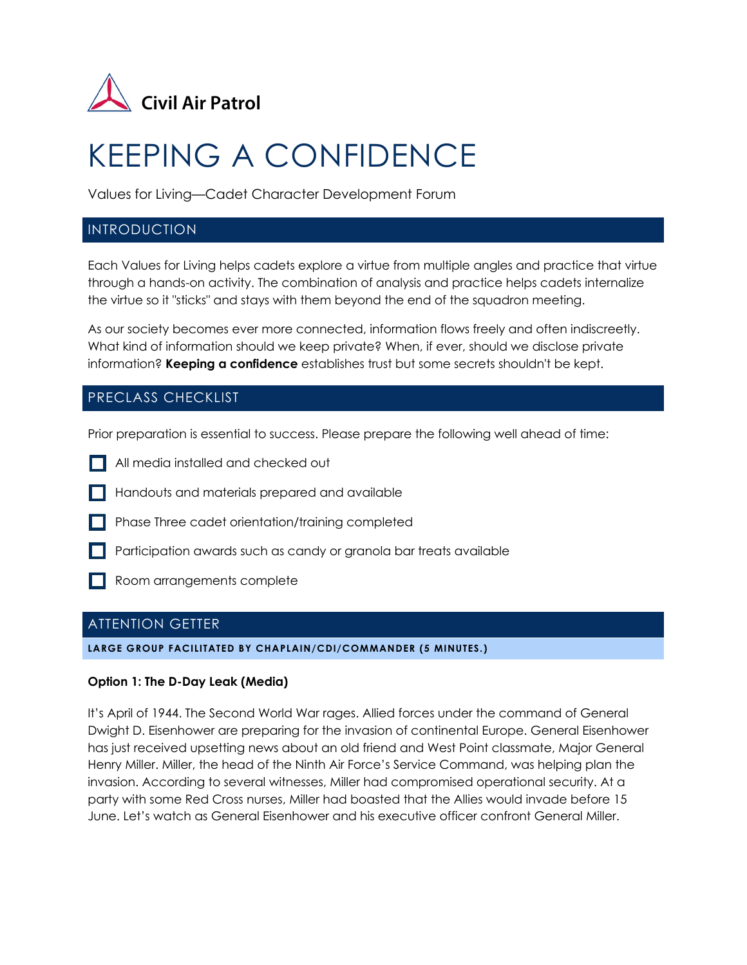

# KEEPING A CONFIDENCE

Values for Living—Cadet Character Development Forum

# **INTRODUCTION**

Each Values for Living helps cadets explore a virtue from multiple angles and practice that virtue through a hands-on activity. The combination of analysis and practice helps cadets internalize the virtue so it "sticks" and stays with them beyond the end of the squadron meeting.

As our society becomes ever more connected, information flows freely and often indiscreetly. What kind of information should we keep private? When, if ever, should we disclose private information? **Keeping a confidence** establishes trust but some secrets shouldn't be kept.

# PRECLASS CHECKLIST

Prior preparation is essential to success. Please prepare the following well ahead of time:

- All media installed and checked out
- Handouts and materials prepared and available
- **Phase Three cadet orientation/training completed**
- **Participation awards such as candy or granola bar treats available**
- Room arrangements complete

# ATTENTION GETTER

**LARGE GROUP FACILITATED BY CHAPLAIN/CDI/COMMANDER (5 MINUTES.)**

#### **Option 1: The D-Day Leak (Media)**

It's April of 1944. The Second World War rages. Allied forces under the command of General Dwight D. Eisenhower are preparing for the invasion of continental Europe. General Eisenhower has just received upsetting news about an old friend and West Point classmate, Major General Henry Miller. Miller, the head of the Ninth Air Force's Service Command, was helping plan the invasion. According to several witnesses, Miller had compromised operational security. At a party with some Red Cross nurses, Miller had boasted that the Allies would invade before 15 June. Let's watch as General Eisenhower and his executive officer confront General Miller.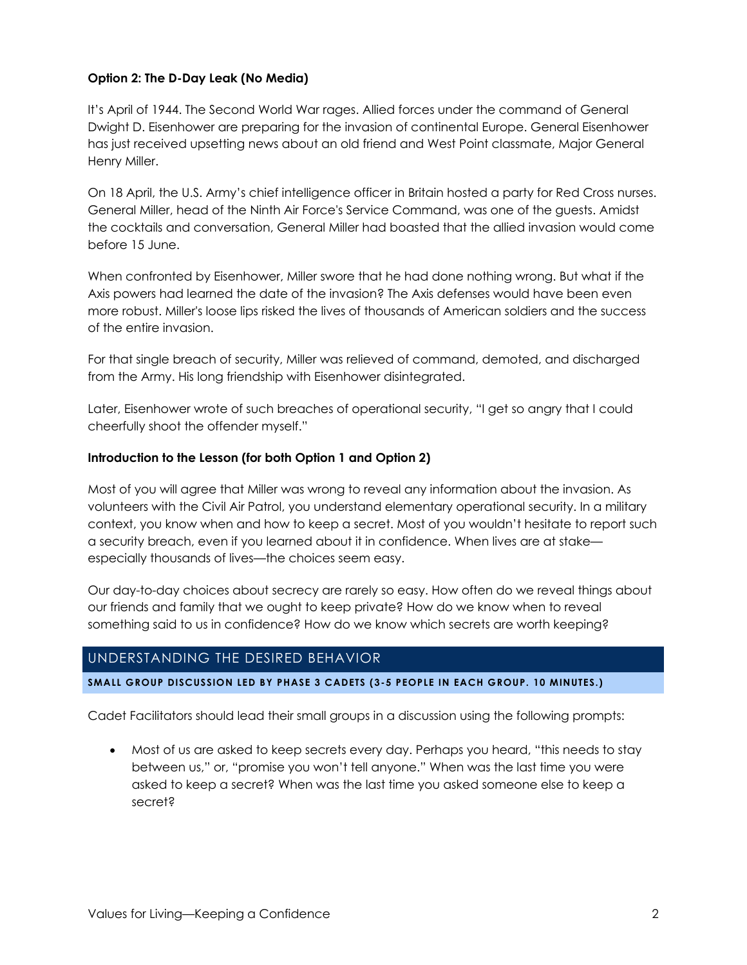### **Option 2: The D-Day Leak (No Media)**

It's April of 1944. The Second World War rages. Allied forces under the command of General Dwight D. Eisenhower are preparing for the invasion of continental Europe. General Eisenhower has just received upsetting news about an old friend and West Point classmate, Major General Henry Miller.

On 18 April, the U.S. Army's chief intelligence officer in Britain hosted a party for Red Cross nurses. General Miller, head of the Ninth Air Force's Service Command, was one of the guests. Amidst the cocktails and conversation, General Miller had boasted that the allied invasion would come before 15 June.

When confronted by Eisenhower, Miller swore that he had done nothing wrong. But what if the Axis powers had learned the date of the invasion? The Axis defenses would have been even more robust. Miller's loose lips risked the lives of thousands of American soldiers and the success of the entire invasion.

For that single breach of security, Miller was relieved of command, demoted, and discharged from the Army. His long friendship with Eisenhower disintegrated.

Later, Eisenhower wrote of such breaches of operational security, "I get so angry that I could cheerfully shoot the offender myself."

#### **Introduction to the Lesson (for both Option 1 and Option 2)**

Most of you will agree that Miller was wrong to reveal any information about the invasion. As volunteers with the Civil Air Patrol, you understand elementary operational security. In a military context, you know when and how to keep a secret. Most of you wouldn't hesitate to report such a security breach, even if you learned about it in confidence. When lives are at stake especially thousands of lives—the choices seem easy.

Our day-to-day choices about secrecy are rarely so easy. How often do we reveal things about our friends and family that we ought to keep private? How do we know when to reveal something said to us in confidence? How do we know which secrets are worth keeping?

# UNDERSTANDING THE DESIRED BEHAVIOR

**SMALL GROUP DISCUSSION LED BY PHASE 3 CADETS (3-5 PEOPLE IN EACH GROUP. 10 MINUTES.)**

Cadet Facilitators should lead their small groups in a discussion using the following prompts:

• Most of us are asked to keep secrets every day. Perhaps you heard, "this needs to stay between us," or, "promise you won't tell anyone." When was the last time you were asked to keep a secret? When was the last time you asked someone else to keep a secret?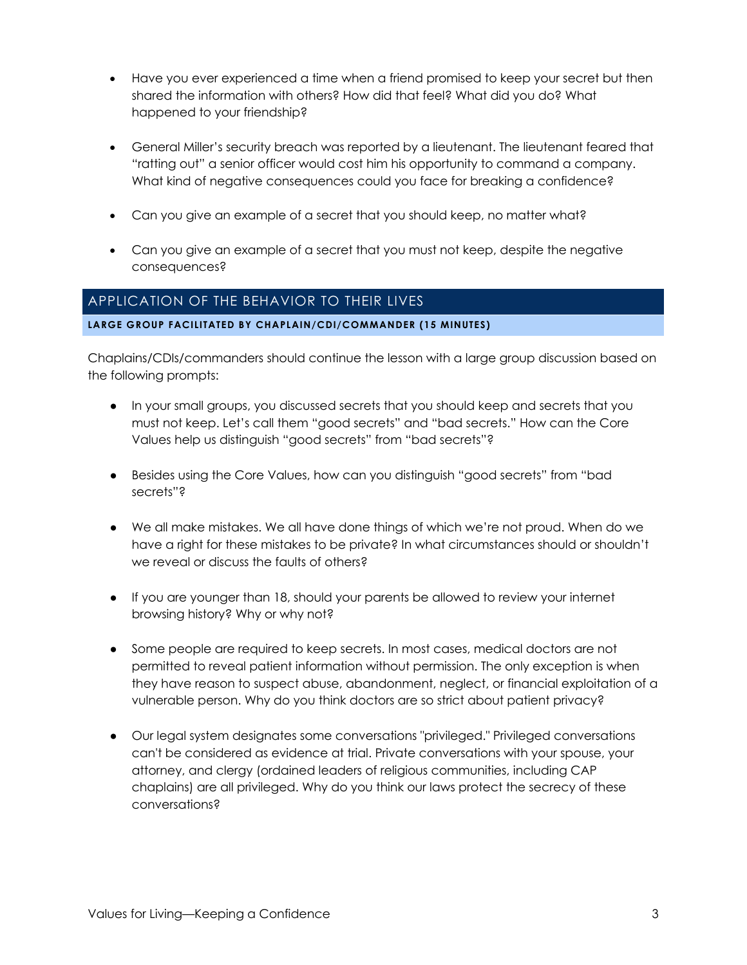- Have you ever experienced a time when a friend promised to keep your secret but then shared the information with others? How did that feel? What did you do? What happened to your friendship?
- General Miller's security breach was reported by a lieutenant. The lieutenant feared that "ratting out" a senior officer would cost him his opportunity to command a company. What kind of negative consequences could you face for breaking a confidence?
- Can you give an example of a secret that you should keep, no matter what?
- Can you give an example of a secret that you must not keep, despite the negative consequences?

# APPLICATION OF THE BEHAVIOR TO THEIR LIVES

#### **LARGE GROUP FACILITATED BY CHAPLAIN/CDI/COMMANDER (15 MINUTES)**

Chaplains/CDIs/commanders should continue the lesson with a large group discussion based on the following prompts:

- In your small groups, you discussed secrets that you should keep and secrets that you must not keep. Let's call them "good secrets" and "bad secrets." How can the Core Values help us distinguish "good secrets" from "bad secrets"?
- Besides using the Core Values, how can you distinguish "good secrets" from "bad secrets"?
- We all make mistakes. We all have done things of which we're not proud. When do we have a right for these mistakes to be private? In what circumstances should or shouldn't we reveal or discuss the faults of others?
- If you are younger than 18, should your parents be allowed to review your internet browsing history? Why or why not?
- Some people are required to keep secrets. In most cases, medical doctors are not permitted to reveal patient information without permission. The only exception is when they have reason to suspect abuse, abandonment, neglect, or financial exploitation of a vulnerable person. Why do you think doctors are so strict about patient privacy?
- Our legal system designates some conversations "privileged." Privileged conversations can't be considered as evidence at trial. Private conversations with your spouse, your attorney, and clergy (ordained leaders of religious communities, including CAP chaplains) are all privileged. Why do you think our laws protect the secrecy of these conversations?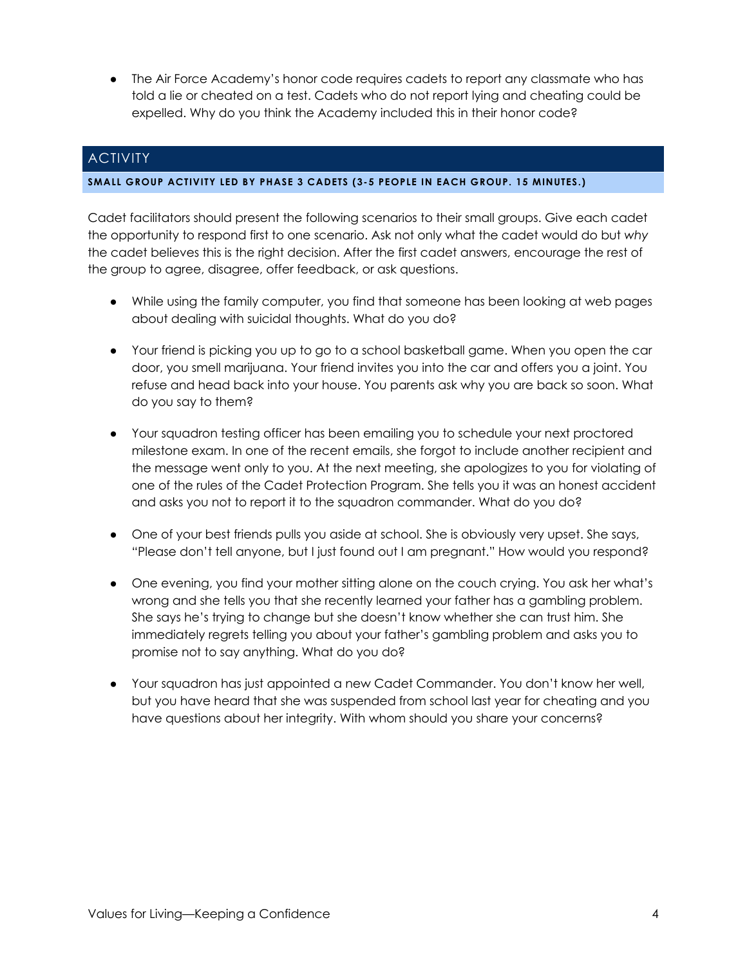• The Air Force Academy's honor code requires cadets to report any classmate who has told a lie or cheated on a test. Cadets who do not report lying and cheating could be expelled. Why do you think the Academy included this in their honor code?

# **ACTIVITY**

#### **SMALL GROUP ACTIVITY LED BY PHASE 3 CADETS (3-5 PEOPLE IN EACH GROUP. 15 MINUTES.)**

Cadet facilitators should present the following scenarios to their small groups. Give each cadet the opportunity to respond first to one scenario. Ask not only what the cadet would do but *why*  the cadet believes this is the right decision. After the first cadet answers, encourage the rest of the group to agree, disagree, offer feedback, or ask questions.

- While using the family computer, you find that someone has been looking at web pages about dealing with suicidal thoughts. What do you do?
- Your friend is picking you up to go to a school basketball game. When you open the car door, you smell marijuana. Your friend invites you into the car and offers you a joint. You refuse and head back into your house. You parents ask why you are back so soon. What do you say to them?
- Your squadron testing officer has been emailing you to schedule your next proctored milestone exam. In one of the recent emails, she forgot to include another recipient and the message went only to you. At the next meeting, she apologizes to you for violating of one of the rules of the Cadet Protection Program. She tells you it was an honest accident and asks you not to report it to the squadron commander. What do you do?
- One of your best friends pulls you aside at school. She is obviously very upset. She says, "Please don't tell anyone, but I just found out I am pregnant." How would you respond?
- One evening, you find your mother sitting alone on the couch crying. You ask her what's wrong and she tells you that she recently learned your father has a gambling problem. She says he's trying to change but she doesn't know whether she can trust him. She immediately regrets telling you about your father's gambling problem and asks you to promise not to say anything. What do you do?
- Your squadron has just appointed a new Cadet Commander. You don't know her well, but you have heard that she was suspended from school last year for cheating and you have questions about her integrity. With whom should you share your concerns?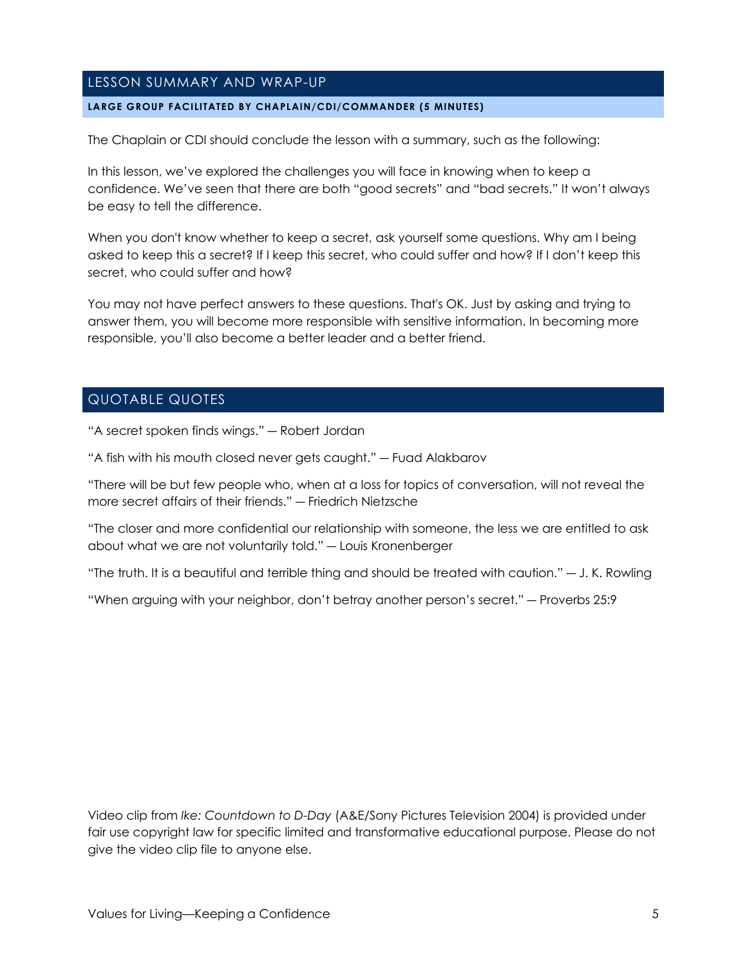# LESSON SUMMARY AND WRAP-UP

#### **LARGE GROUP FACILITATED BY CHAPLAIN/CDI/COMMANDER (5 MINUTES)**

The Chaplain or CDI should conclude the lesson with a summary, such as the following:

In this lesson, we've explored the challenges you will face in knowing when to keep a confidence. We've seen that there are both "good secrets" and "bad secrets." It won't always be easy to tell the difference.

When you don't know whether to keep a secret, ask yourself some questions. Why am I being asked to keep this a secret? If I keep this secret, who could suffer and how? If I don't keep this secret, who could suffer and how?

You may not have perfect answers to these questions. That's OK. Just by asking and trying to answer them, you will become more responsible with sensitive information. In becoming more responsible, you'll also become a better leader and a better friend.

# QUOTABLE QUOTES

"A secret spoken finds wings." ― Robert Jordan

"A fish with his mouth closed never gets caught." ― Fuad Alakbarov

"There will be but few people who, when at a loss for topics of conversation, will not reveal the more secret affairs of their friends." ― Friedrich Nietzsche

"The closer and more confidential our relationship with someone, the less we are entitled to ask about what we are not voluntarily told." ― Louis Kronenberger

"The truth. It is a beautiful and terrible thing and should be treated with caution." ― J. K. Rowling

"When arguing with your neighbor, don't betray another person's secret." ― Proverbs 25:9

Video clip from *Ike: Countdown to D-Day* (A&E/Sony Pictures Television 2004) is provided under fair use copyright law for specific limited and transformative educational purpose. Please do not give the video clip file to anyone else.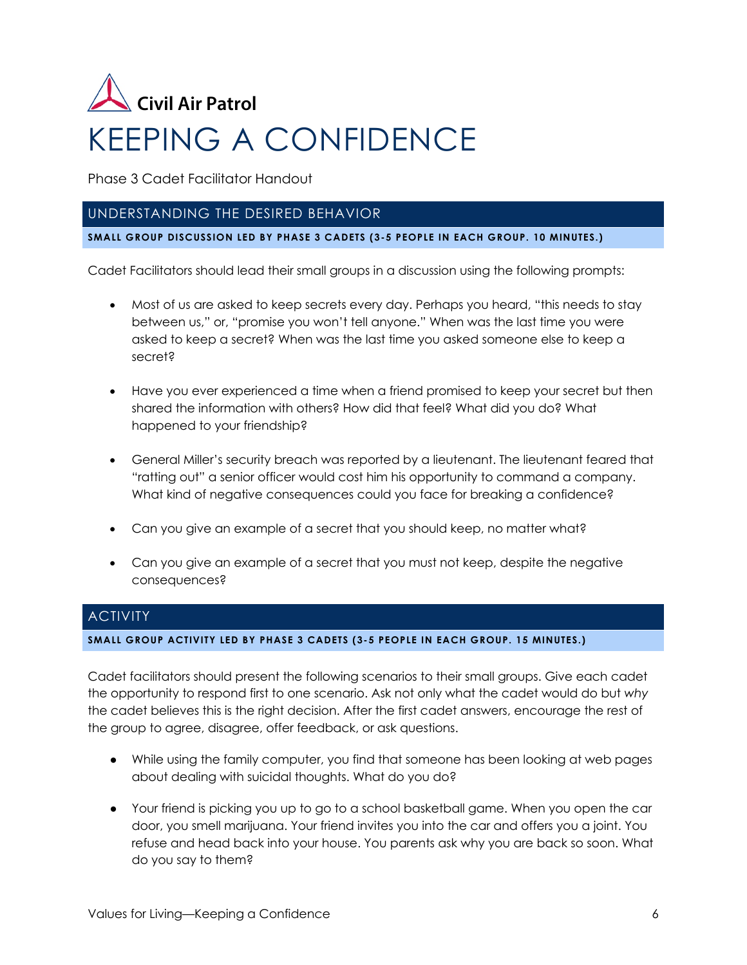

Phase 3 Cadet Facilitator Handout

# UNDERSTANDING THE DESIRED BEHAVIOR

**SMALL GROUP DISCUSSION LED BY PHASE 3 CADETS (3-5 PEOPLE IN EACH GROUP. 10 MINUTES.)**

Cadet Facilitators should lead their small groups in a discussion using the following prompts:

- Most of us are asked to keep secrets every day. Perhaps you heard, "this needs to stay between us," or, "promise you won't tell anyone." When was the last time you were asked to keep a secret? When was the last time you asked someone else to keep a secret?
- Have you ever experienced a time when a friend promised to keep your secret but then shared the information with others? How did that feel? What did you do? What happened to your friendship?
- General Miller's security breach was reported by a lieutenant. The lieutenant feared that "ratting out" a senior officer would cost him his opportunity to command a company. What kind of negative consequences could you face for breaking a confidence?
- Can you give an example of a secret that you should keep, no matter what?
- Can you give an example of a secret that you must not keep, despite the negative consequences?

# **ACTIVITY**

#### **SMALL GROUP ACTIVITY LED BY PHASE 3 CADETS (3-5 PEOPLE IN EACH GROUP. 15 MINUTES.)**

Cadet facilitators should present the following scenarios to their small groups. Give each cadet the opportunity to respond first to one scenario. Ask not only what the cadet would do but *why*  the cadet believes this is the right decision. After the first cadet answers, encourage the rest of the group to agree, disagree, offer feedback, or ask questions.

- While using the family computer, you find that someone has been looking at web pages about dealing with suicidal thoughts. What do you do?
- Your friend is picking you up to go to a school basketball game. When you open the car door, you smell marijuana. Your friend invites you into the car and offers you a joint. You refuse and head back into your house. You parents ask why you are back so soon. What do you say to them?